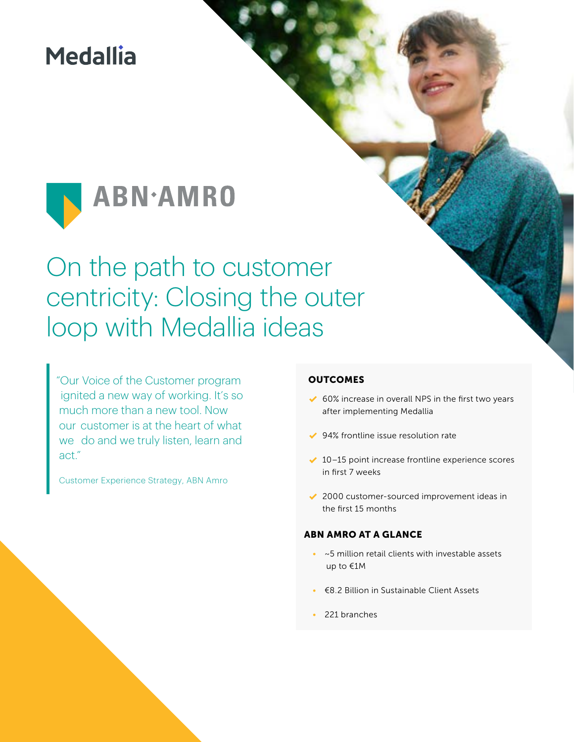# **Medallia**



# On the path to customer centricity: Closing the outer loop with Medallia ideas

"Our Voice of the Customer program ignited a new way of working. It's so much more than a new tool. Now our customer is at the heart of what we do and we truly listen, learn and act."

Customer Experience Strategy, ABN Amro

### **OUTCOMES**

- $\triangleleft$  60% increase in overall NPS in the first two years after implementing Medallia
- ◆ 94% frontline issue resolution rate
- $\sqrt{10-15}$  point increase frontline experience scores in first 7 weeks
- ◆ 2000 customer-sourced improvement ideas in the first 15 months

#### ABN AMRO AT A GLANCE

- ~5 million retail clients with investable assets up to €1M
- €8.2 Billion in Sustainable Client Assets
- 221 branches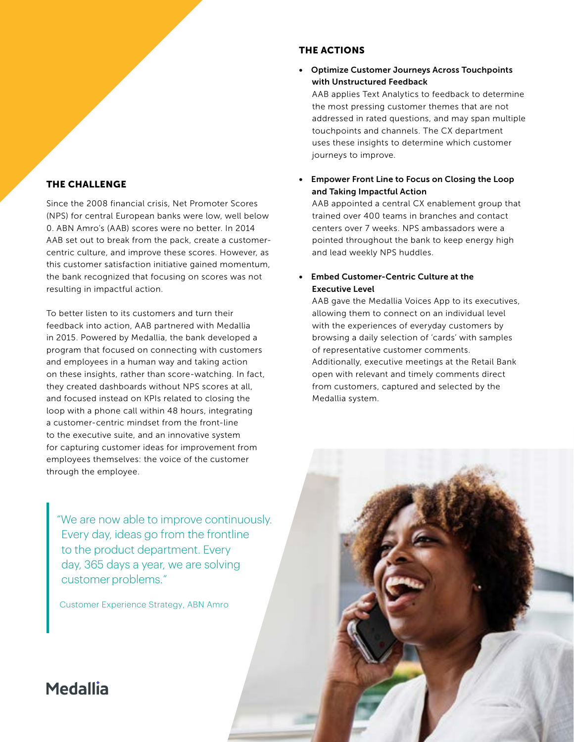### THE CHALLENGE

Since the 2008 financial crisis, Net Promoter Scores (NPS) for central European banks were low, well below 0. ABN Amro's (AAB) scores were no better. In 2014 AAB set out to break from the pack, create a customercentric culture, and improve these scores. However, as this customer satisfaction initiative gained momentum, the bank recognized that focusing on scores was not resulting in impactful action.

To better listen to its customers and turn their feedback into action, AAB partnered with Medallia in 2015. Powered by Medallia, the bank developed a program that focused on connecting with customers and employees in a human way and taking action on these insights, rather than score-watching. In fact, they created dashboards without NPS scores at all, and focused instead on KPIs related to closing the loop with a phone call within 48 hours, integrating a customer-centric mindset from the front-line to the executive suite, and an innovative system for capturing customer ideas for improvement from employees themselves: the voice of the customer through the employee.

"We are now able to improve continuously. Every day, ideas go from the frontline to the product department. Every day, 365 days a year, we are solving customer problems."

Customer Experience Strategy, ABN Amro

### THE ACTIONS

• Optimize Customer Journeys Across Touchpoints with Unstructured Feedback

AAB applies Text Analytics to feedback to determine the most pressing customer themes that are not addressed in rated questions, and may span multiple touchpoints and channels. The CX department uses these insights to determine which customer journeys to improve.

• Empower Front Line to Focus on Closing the Loop and Taking Impactful Action

AAB appointed a central CX enablement group that trained over 400 teams in branches and contact centers over 7 weeks. NPS ambassadors were a pointed throughout the bank to keep energy high and lead weekly NPS huddles.

### • Embed Customer-Centric Culture at the Executive Level

AAB gave the Medallia Voices App to its executives, allowing them to connect on an individual level with the experiences of everyday customers by browsing a daily selection of 'cards' with samples of representative customer comments. Additionally, executive meetings at the Retail Bank open with relevant and timely comments direct from customers, captured and selected by the Medallia system.

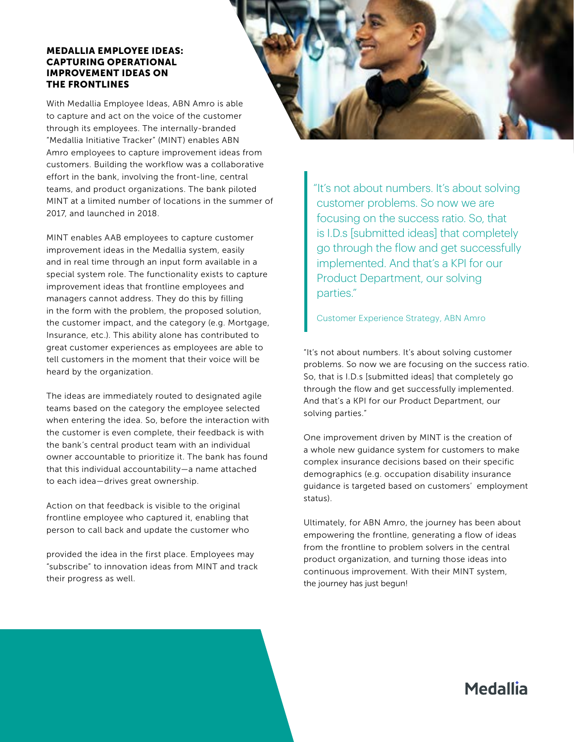#### MEDALLIA EMPLOYEE IDEAS: CAPTURING OPERATIONAL IMPROVEMENT IDEAS ON THE FRONTLINES

With Medallia Employee Ideas, ABN Amro is able to capture and act on the voice of the customer through its employees. The internally-branded "Medallia Initiative Tracker" (MINT) enables ABN Amro employees to capture improvement ideas from customers. Building the workflow was a collaborative effort in the bank, involving the front-line, central teams, and product organizations. The bank piloted MINT at a limited number of locations in the summer of 2017, and launched in 2018.

MINT enables AAB employees to capture customer improvement ideas in the Medallia system, easily and in real time through an input form available in a special system role. The functionality exists to capture improvement ideas that frontline employees and managers cannot address. They do this by filling in the form with the problem, the proposed solution, the customer impact, and the category (e.g. Mortgage, Insurance, etc.). This ability alone has contributed to great customer experiences as employees are able to tell customers in the moment that their voice will be heard by the organization.

The ideas are immediately routed to designated agile teams based on the category the employee selected when entering the idea. So, before the interaction with the customer is even complete, their feedback is with the bank's central product team with an individual owner accountable to prioritize it. The bank has found that this individual accountability—a name attached to each idea—drives great ownership.

Action on that feedback is visible to the original frontline employee who captured it, enabling that person to call back and update the customer who

provided the idea in the first place. Employees may "subscribe" to innovation ideas from MINT and track their progress as well.

"It's not about numbers. It's about solving customer problems. So now we are focusing on the success ratio. So, that is I.D.s [submitted ideas] that completely go through the flow and get successfully implemented. And that's a KPI for our Product Department, our solving parties."

Customer Experience Strategy, ABN Amro

"It's not about numbers. It's about solving customer problems. So now we are focusing on the success ratio. So, that is I.D.s [submitted ideas] that completely go through the flow and get successfully implemented. And that's a KPI for our Product Department, our solving parties."

One improvement driven by MINT is the creation of a whole new guidance system for customers to make complex insurance decisions based on their specific demographics (e.g. occupation disability insurance guidance is targeted based on customers' employment status).

Ultimately, for ABN Amro, the journey has been about empowering the frontline, generating a flow of ideas from the frontline to problem solvers in the central product organization, and turning those ideas into continuous improvement. With their MINT system, the journey has just begun!

## **Medallia**